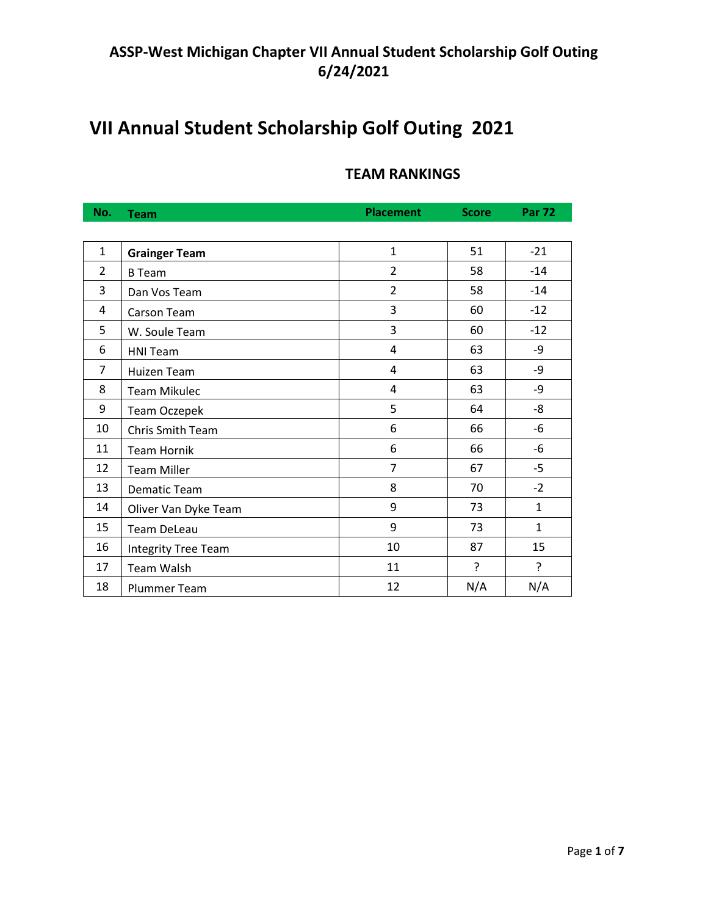# **VII Annual Student Scholarship Golf Outing 2021**

## **TEAM RANKINGS**

| No.            | <b>Team</b>                | <b>Placement</b> | <b>Score</b> | <b>Par 72</b> |
|----------------|----------------------------|------------------|--------------|---------------|
|                |                            |                  |              |               |
| $\mathbf{1}$   | <b>Grainger Team</b>       | $\mathbf{1}$     | 51           | $-21$         |
| $\overline{2}$ | <b>B</b> Team              | $\overline{2}$   | 58           | $-14$         |
| 3              | Dan Vos Team               | $\overline{2}$   | 58           | $-14$         |
| 4              | Carson Team                | 3                | 60           | $-12$         |
| 5              | W. Soule Team              | 3                | 60           | $-12$         |
| 6              | <b>HNI Team</b>            | 4                | 63           | $-9$          |
| $\overline{7}$ | Huizen Team                | 4                | 63           | -9            |
| 8              | <b>Team Mikulec</b>        | 4                | 63           | -9            |
| 9              | <b>Team Oczepek</b>        | 5                | 64           | -8            |
| 10             | Chris Smith Team           | 6                | 66           | $-6$          |
| 11             | <b>Team Hornik</b>         | 6                | 66           | -6            |
| 12             | <b>Team Miller</b>         | 7                | 67           | $-5$          |
| 13             | Dematic Team               | 8                | 70           | $-2$          |
| 14             | Oliver Van Dyke Team       | 9                | 73           | $\mathbf{1}$  |
| 15             | <b>Team DeLeau</b>         | 9                | 73           | $\mathbf{1}$  |
| 16             | <b>Integrity Tree Team</b> | 10               | 87           | 15            |
| 17             | <b>Team Walsh</b>          | 11               | ç.           | ?             |
| 18             | <b>Plummer Team</b>        | 12               | N/A          | N/A           |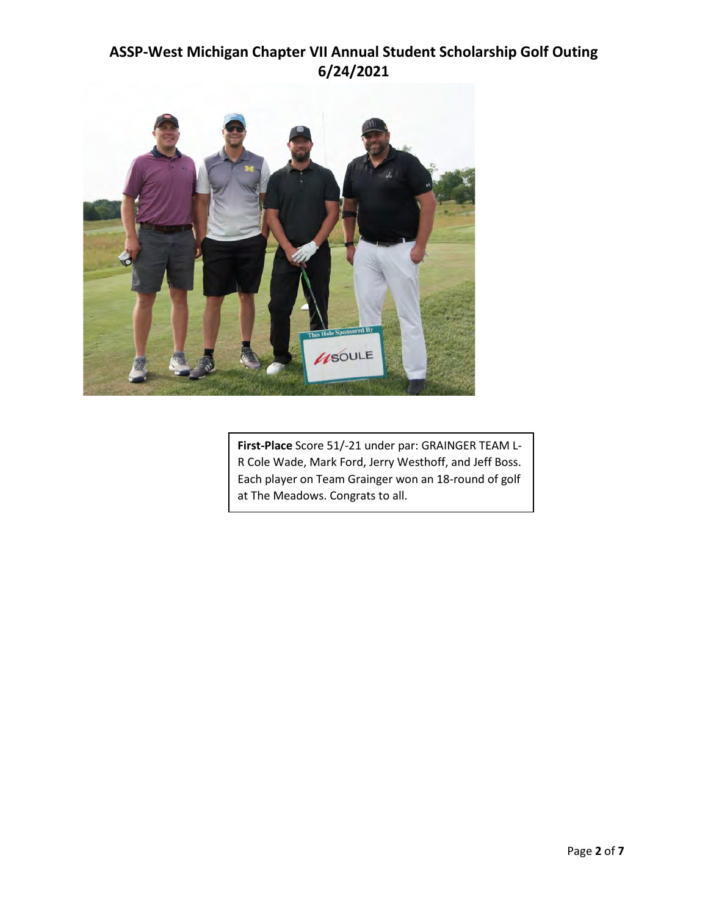

**First-Place** Score 51/-21 under par: GRAINGER TEAM L-R Cole Wade, Mark Ford, Jerry Westhoff, and Jeff Boss. Each player on Team Grainger won an 18-round of golf at The Meadows. Congrats to all.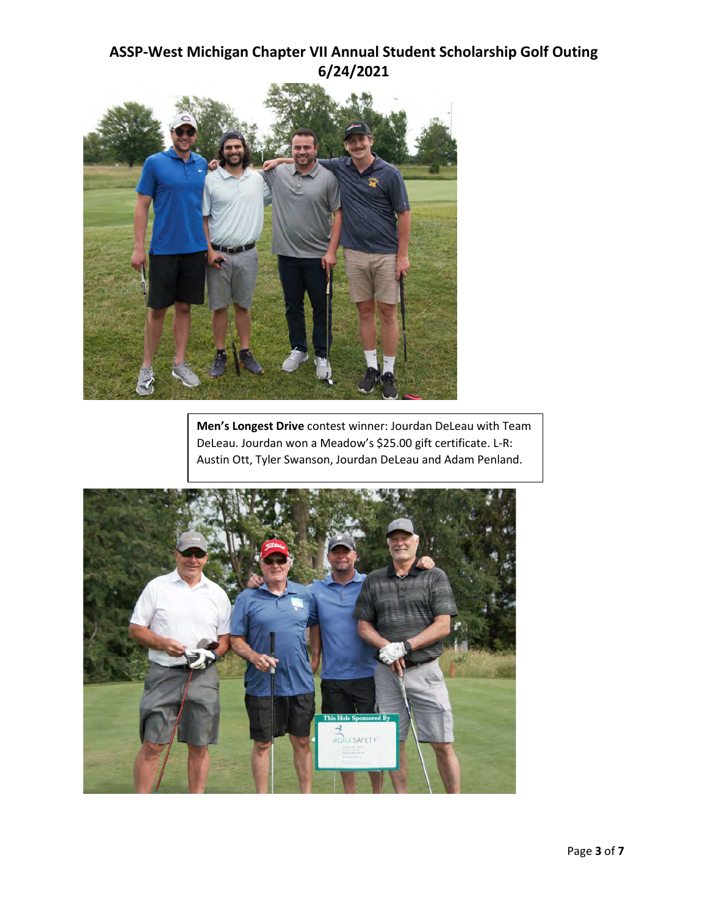

**Men's Longest Drive** contest winner: Jourdan DeLeau with Team DeLeau. Jourdan won a Meadow's \$25.00 gift certificate. L-R: Austin Ott, Tyler Swanson, Jourdan DeLeau and Adam Penland.

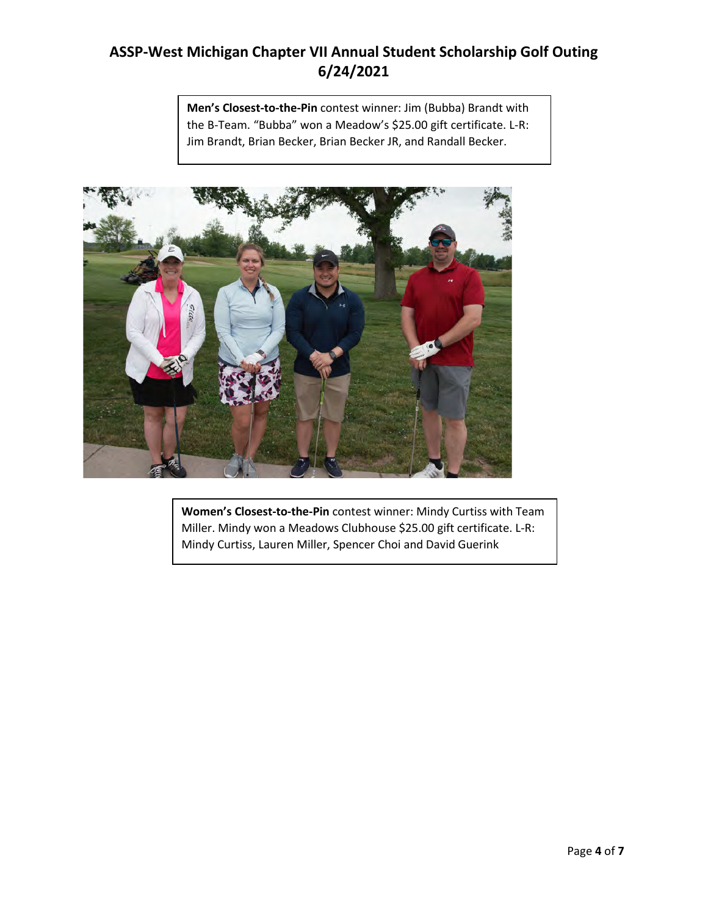**Men's Closest-to-the-Pin** contest winner: Jim (Bubba) Brandt with the B-Team. "Bubba" won a Meadow's \$25.00 gift certificate. L-R: Jim Brandt, Brian Becker, Brian Becker JR, and Randall Becker.



**Women's Closest-to-the-Pin** contest winner: Mindy Curtiss with Team Miller. Mindy won a Meadows Clubhouse \$25.00 gift certificate. L-R: Mindy Curtiss, Lauren Miller, Spencer Choi and David Guerink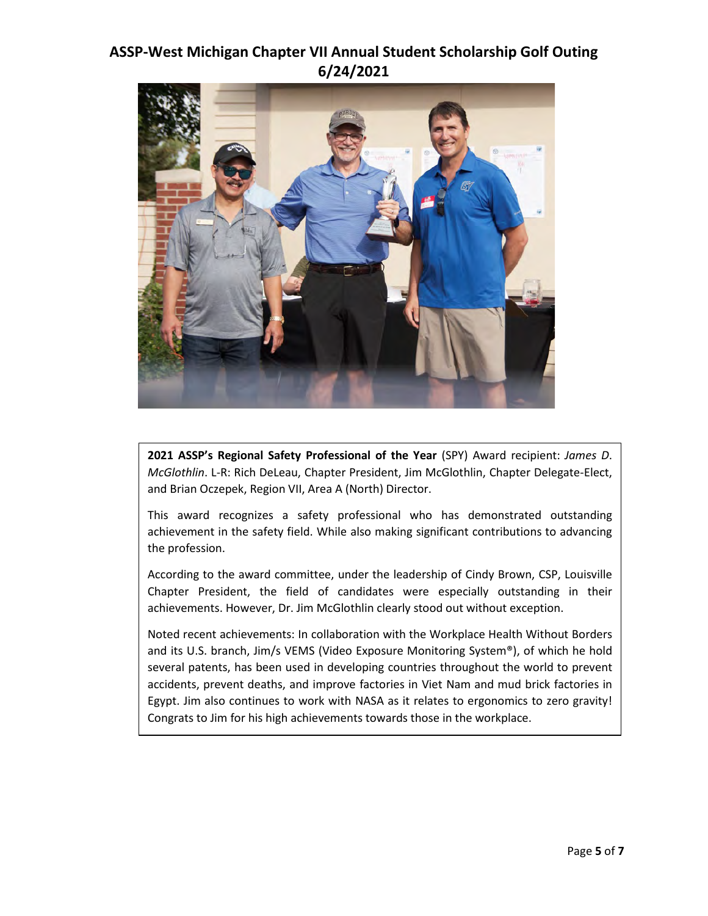

**2021 ASSP's Regional Safety Professional of the Year** (SPY) Award recipient: *James D*. *McGlothlin*. L-R: Rich DeLeau, Chapter President, Jim McGlothlin, Chapter Delegate-Elect, and Brian Oczepek, Region VII, Area A (North) Director.

This award recognizes a safety professional who has demonstrated outstanding achievement in the safety field. While also making significant contributions to advancing the profession.

According to the award committee, under the leadership of Cindy Brown, CSP, Louisville Chapter President, the field of candidates were especially outstanding in their achievements. However, Dr. Jim McGlothlin clearly stood out without exception.

Noted recent achievements: In collaboration with the Workplace Health Without Borders and its U.S. branch, Jim/s VEMS (Video Exposure Monitoring System®), of which he hold several patents, has been used in developing countries throughout the world to prevent accidents, prevent deaths, and improve factories in Viet Nam and mud brick factories in Egypt. Jim also continues to work with NASA as it relates to ergonomics to zero gravity! Congrats to Jim for his high achievements towards those in the workplace.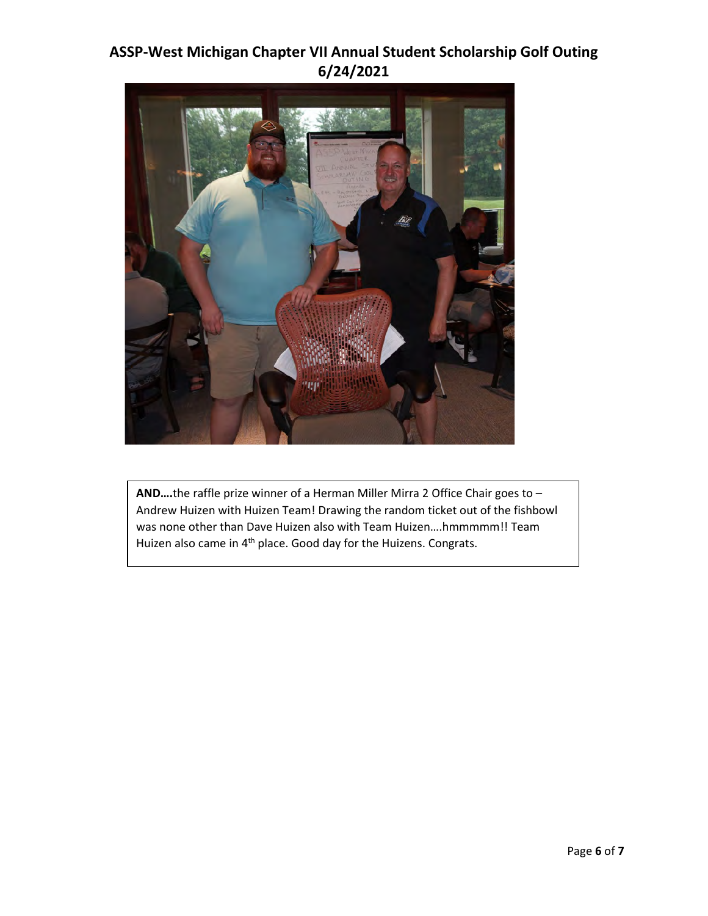

**AND….**the raffle prize winner of a Herman Miller Mirra 2 Office Chair goes to – Andrew Huizen with Huizen Team! Drawing the random ticket out of the fishbowl was none other than Dave Huizen also with Team Huizen....hmmmmm!! Team Huizen also came in 4<sup>th</sup> place. Good day for the Huizens. Congrats.